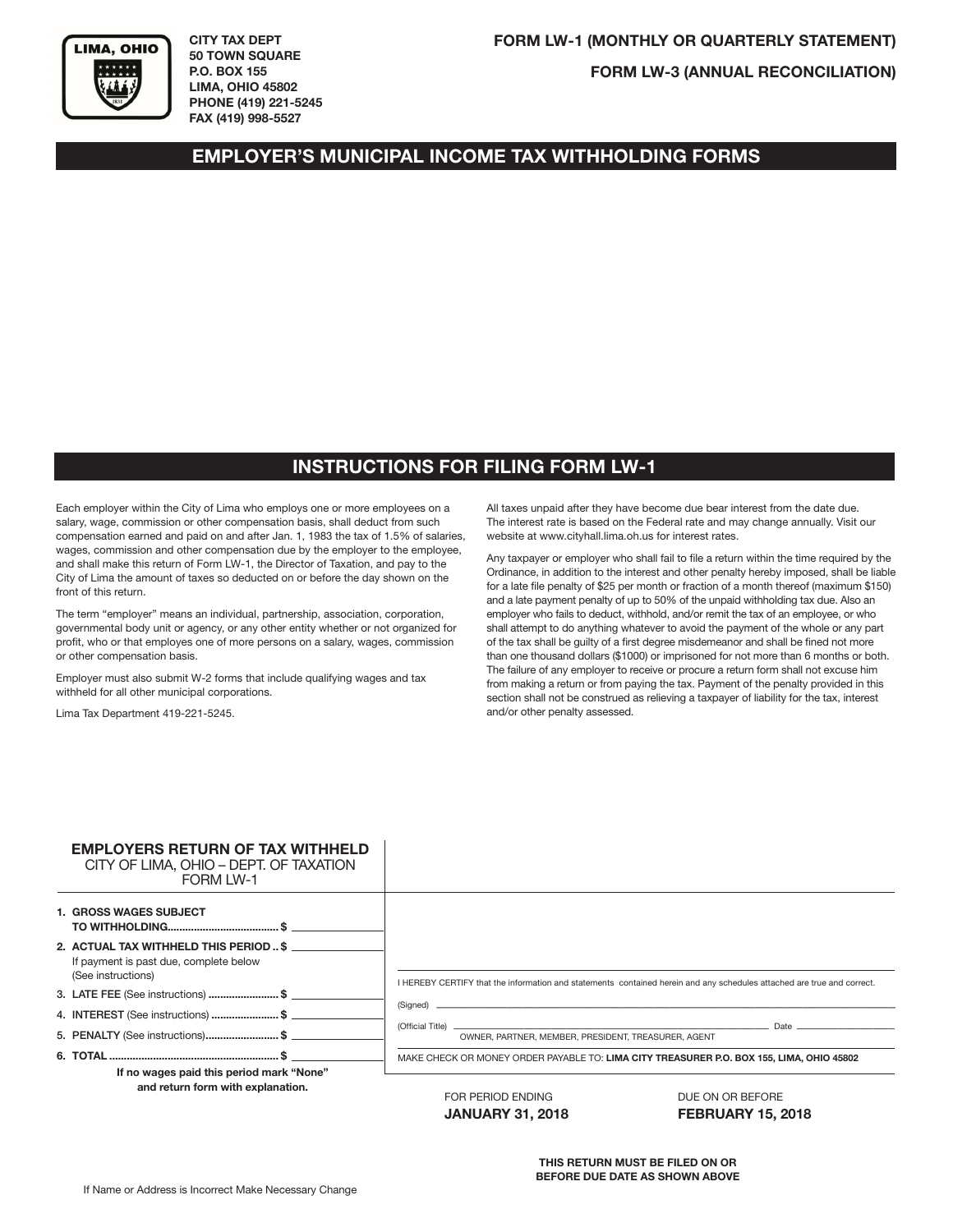

**CITY TAX DEPT 50 TOWN SQUARE P.O. BOX 155 LIMA, OHIO 45802 PHONE (419) 221-5245 FAX (419) 998-5527**

**FORM LW-3 (ANNUAL RECONCILIATION)**

## **EMPLOYER'S MUNICIPAL INCOME TAX WITHHOLDING FORMS**

## **INSTRUCTIONS FOR FILING FORM LW-1**

Each employer within the City of Lima who employs one or more employees on a salary, wage, commission or other compensation basis, shall deduct from such compensation earned and paid on and after Jan. 1, 1983 the tax of 1.5% of salaries, wages, commission and other compensation due by the employer to the employee, and shall make this return of Form LW-1, the Director of Taxation, and pay to the City of Lima the amount of taxes so deducted on or before the day shown on the front of this return.

The term "employer" means an individual, partnership, association, corporation, governmental body unit or agency, or any other entity whether or not organized for profit, who or that employes one of more persons on a salary, wages, commission or other compensation basis.

Employer must also submit W-2 forms that include qualifying wages and tax withheld for all other municipal corporations.

Lima Tax Department 419-221-5245.

All taxes unpaid after they have become due bear interest from the date due. The interest rate is based on the Federal rate and may change annually. Visit our website at www.cityhall.lima.oh.us for interest rates.

Any taxpayer or employer who shall fail to file a return within the time required by the Ordinance, in addition to the interest and other penalty hereby imposed, shall be liable for a late file penalty of \$25 per month or fraction of a month thereof (maximum \$150) and a late payment penalty of up to 50% of the unpaid withholding tax due. Also an employer who fails to deduct, withhold, and/or remit the tax of an employee, or who shall attempt to do anything whatever to avoid the payment of the whole or any part of the tax shall be guilty of a first degree misdemeanor and shall be fined not more than one thousand dollars (\$1000) or imprisoned for not more than 6 months or both. The failure of any employer to receive or procure a return form shall not excuse him from making a return or from paying the tax. Payment of the penalty provided in this section shall not be construed as relieving a taxpayer of liability for the tax, interest and/or other penalty assessed.

| <b>EMPLOYERS RETURN OF TAX WITHHELD</b><br>CITY OF LIMA, OHIO - DEPT. OF TAXATION<br><b>FORM LW-1</b>  |                                                     |                                                                                                                                                                                                                                |
|--------------------------------------------------------------------------------------------------------|-----------------------------------------------------|--------------------------------------------------------------------------------------------------------------------------------------------------------------------------------------------------------------------------------|
| <b>1. GROSS WAGES SUBJECT</b>                                                                          |                                                     |                                                                                                                                                                                                                                |
| 2. ACTUAL TAX WITHHELD THIS PERIOD  \$<br>If payment is past due, complete below<br>(See instructions) |                                                     | I HEREBY CERTIFY that the information and statements contained herein and any schedules attached are true and correct.                                                                                                         |
| 3. LATE FEE (See instructions) \$                                                                      |                                                     |                                                                                                                                                                                                                                |
| 4. INTEREST (See instructions) \$                                                                      |                                                     |                                                                                                                                                                                                                                |
| 5. PENALTY (See instructions)\$                                                                        | OWNER, PARTNER, MEMBER, PRESIDENT, TREASURER, AGENT | Date and the contract of the contract of the contract of the contract of the contract of the contract of the contract of the contract of the contract of the contract of the contract of the contract of the contract of the c |
| If no wages paid this period mark "None"                                                               |                                                     | MAKE CHECK OR MONEY ORDER PAYABLE TO: LIMA CITY TREASURER P.O. BOX 155, LIMA, OHIO 45802                                                                                                                                       |
| and return form with explanation.                                                                      | FOR PERIOD ENDING<br>$\mathbf{r}$                   | DUE ON OR BEFORE<br>FFBBULLBV/JF 88JA                                                                                                                                                                                          |

**JANUARY 31, 2018 FEBRUARY 15, 2018**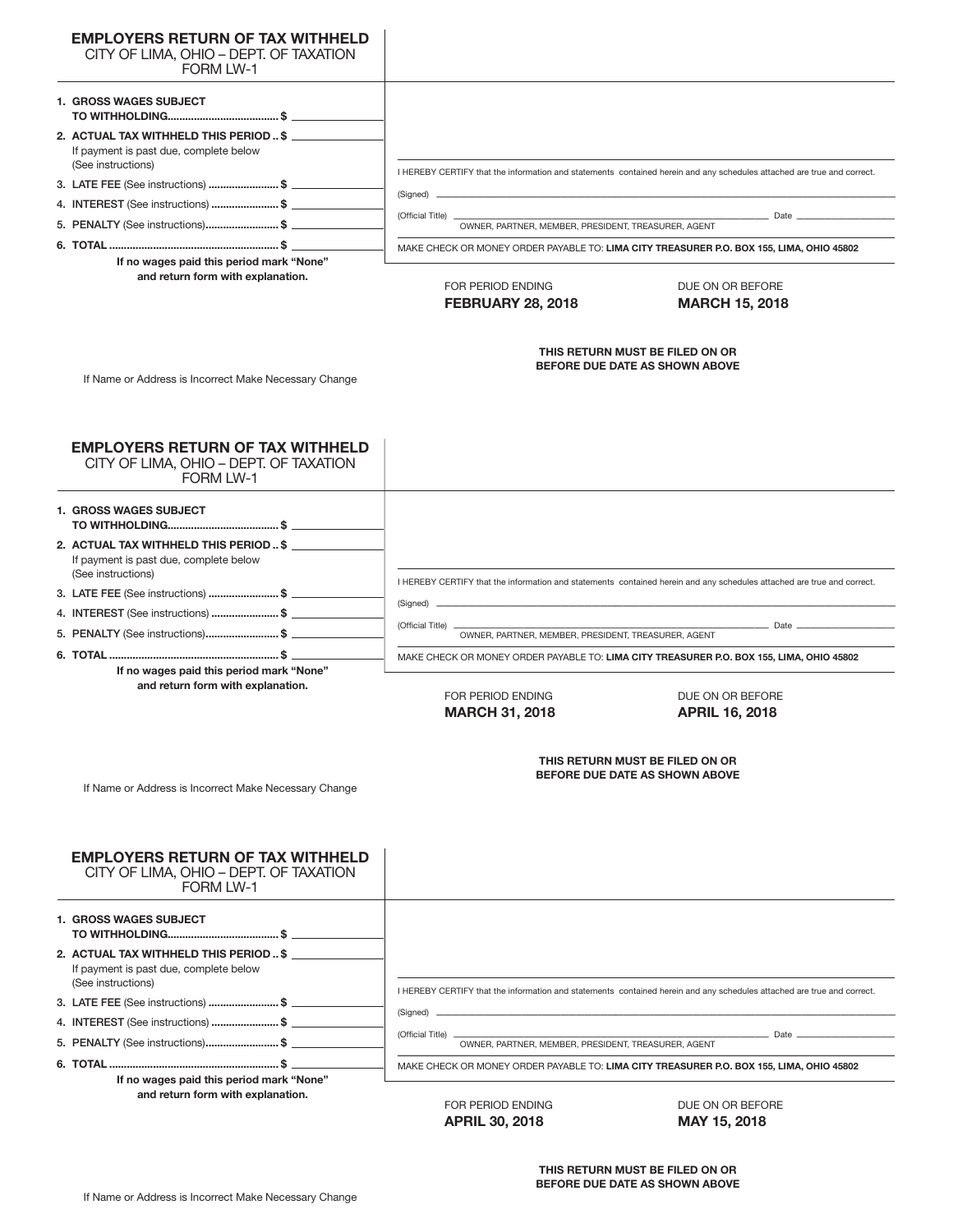| <b>EMPLOYERS RETURN OF TAX WITHHELD</b><br>CITY OF LIMA, OHIO - DEPT. OF TAXATION                      |                                                                                          |                                                                                                                        |  |  |
|--------------------------------------------------------------------------------------------------------|------------------------------------------------------------------------------------------|------------------------------------------------------------------------------------------------------------------------|--|--|
| FORM LW-1                                                                                              |                                                                                          |                                                                                                                        |  |  |
| <b>1. GROSS WAGES SUBJECT</b>                                                                          |                                                                                          |                                                                                                                        |  |  |
| 2. ACTUAL TAX WITHHELD THIS PERIOD  \$<br>If payment is past due, complete below<br>(See instructions) |                                                                                          |                                                                                                                        |  |  |
| 3. LATE FEE (See instructions) \$                                                                      |                                                                                          | I HEREBY CERTIFY that the information and statements contained herein and any schedules attached are true and correct. |  |  |
| 4. INTEREST (See instructions) \$                                                                      | (Signed) _                                                                               |                                                                                                                        |  |  |
| 5. PENALTY (See instructions)\$                                                                        | (Official Title) _                                                                       | Date                                                                                                                   |  |  |
|                                                                                                        | OWNER, PARTNER, MEMBER, PRESIDENT, TREASURER, AGENT                                      |                                                                                                                        |  |  |
| If no wages paid this period mark "None"                                                               | MAKE CHECK OR MONEY ORDER PAYABLE TO: LIMA CITY TREASURER P.O. BOX 155, LIMA, OHIO 45802 |                                                                                                                        |  |  |
| and return form with explanation.                                                                      | FOR PERIOD ENDING<br><b>FEBRUARY 28, 2018</b>                                            | DUE ON OR BEFORE<br><b>MARCH 15, 2018</b>                                                                              |  |  |
| If Name or Address is Incorrect Make Necessary Change                                                  | THIS RETURN MUST BE FILED ON OR<br>BEFORE DUE DATE AS SHOWN ABOVE                        |                                                                                                                        |  |  |
| <b>EMPLOYERS RETURN OF TAX WITHHELD</b><br>CITY OF LIMA, OHIO - DEPT. OF TAXATION<br><b>FORM LW-1</b>  |                                                                                          |                                                                                                                        |  |  |
|                                                                                                        |                                                                                          |                                                                                                                        |  |  |
| <b>1. GROSS WAGES SUBJECT</b>                                                                          |                                                                                          |                                                                                                                        |  |  |
| 2. ACTUAL TAX WITHHELD THIS PERIOD  \$                                                                 |                                                                                          |                                                                                                                        |  |  |
| If payment is past due, complete below<br>(See instructions)                                           |                                                                                          | I HEREBY CERTIFY that the information and statements contained herein and any schedules attached are true and correct. |  |  |
| 3. LATE FEE (See instructions) \$                                                                      | (Signed) _                                                                               |                                                                                                                        |  |  |
| 4. INTEREST (See instructions) \$                                                                      |                                                                                          |                                                                                                                        |  |  |
|                                                                                                        |                                                                                          |                                                                                                                        |  |  |
| 5. PENALTY (See instructions)\$                                                                        | (Official Title) _<br>OWNER, PARTNER, MEMBER, PRESIDENT, TREASURER, AGENT                | Date                                                                                                                   |  |  |
|                                                                                                        |                                                                                          | MAKE CHECK OR MONEY ORDER PAYABLE TO: LIMA CITY TREASURER P.O. BOX 155, LIMA, OHIO 45802                               |  |  |
| If no wages paid this period mark "None"                                                               |                                                                                          |                                                                                                                        |  |  |
| and return form with explanation.                                                                      | FOR PERIOD ENDING                                                                        | DUE ON OR BEFORE                                                                                                       |  |  |
|                                                                                                        | <b>MARCH 31, 2018</b>                                                                    | <b>APRIL 16, 2018</b>                                                                                                  |  |  |
| If Name or Address is Incorrect Make Necessary Change                                                  |                                                                                          | THIS RETURN MUST BE FILED ON OR<br>BEFORE DUE DATE AS SHOWN ABOVE                                                      |  |  |
| <b>EMPLOYERS RETURN OF TAX WITHHELD</b><br>CITY OF LIMA, OHIO - DEPT. OF TAXATION<br><b>FORM LW-1</b>  |                                                                                          |                                                                                                                        |  |  |
| <b>1. GROSS WAGES SUBJECT</b>                                                                          |                                                                                          |                                                                                                                        |  |  |
| 2. ACTUAL TAX WITHHELD THIS PERIOD  \$<br>If payment is past due, complete below                       |                                                                                          |                                                                                                                        |  |  |
| (See instructions)                                                                                     |                                                                                          | I HEREBY CERTIFY that the information and statements contained herein and any schedules attached are true and correct. |  |  |
| 3. LATE FEE (See instructions) \$                                                                      | (Signed) _                                                                               |                                                                                                                        |  |  |
| 4. INTEREST (See instructions) \$ __________<br>5. PENALTY (See instructions)\$                        | (Official Title) __<br>OWNER, PARTNER, MEMBER, PRESIDENT, TREASURER, AGENT               | $-$ Date $-$                                                                                                           |  |  |

MAKE CHECK OR MONEY ORDER PAYABLE TO: **LIMA CITY TREASURER P.O. BOX 155, LIMA, OHIO 45802**

**APRIL 30, 2018 MAY 15, 2018**

FOR PERIOD ENDING DUE ON OR BEFORE

**If no wages paid this period mark "None" and return form with explanation.**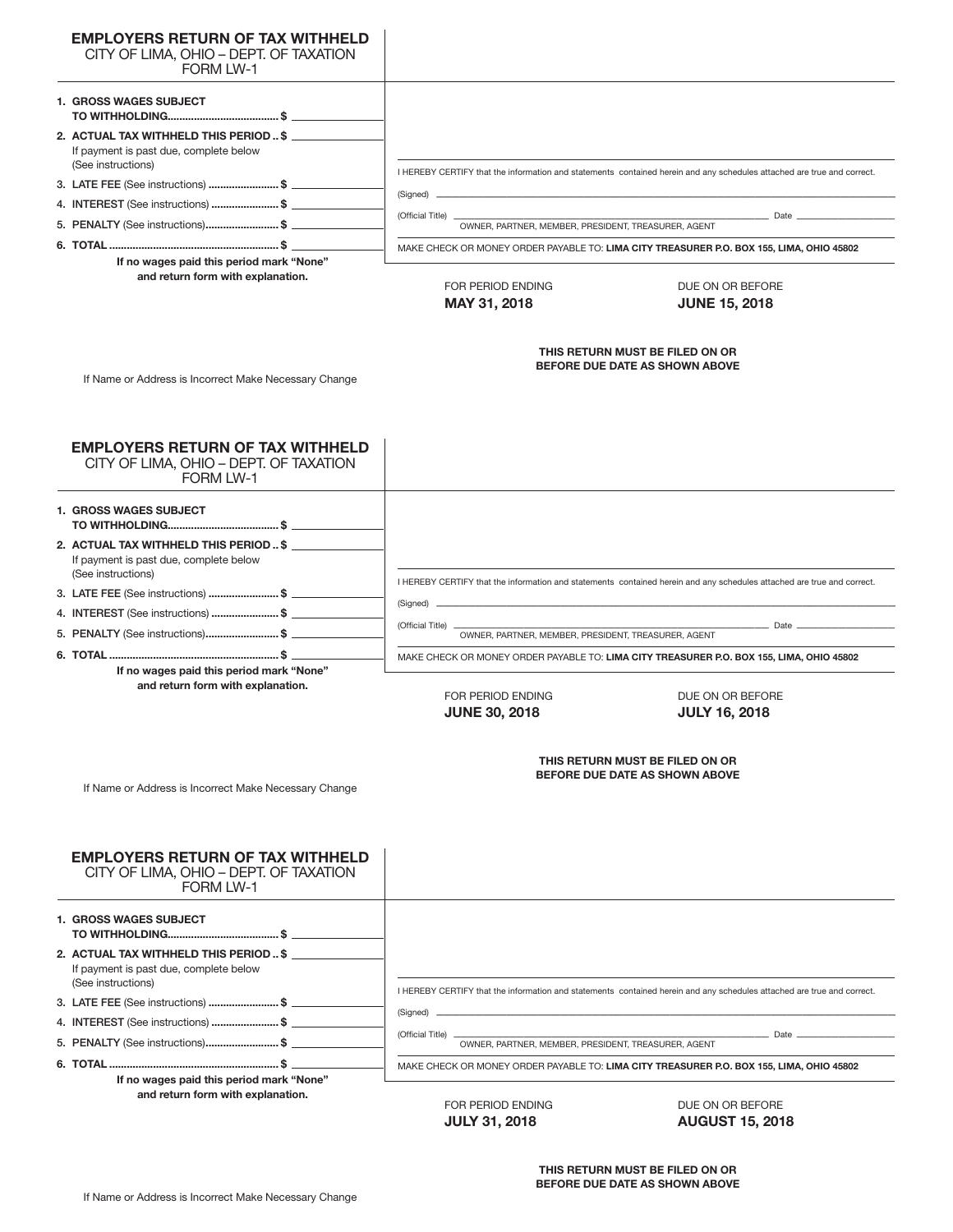| <b>EMPLOYERS RETURN OF TAX WITHHELD</b>                                                                |                                                                           |                                                                                                                        |  |
|--------------------------------------------------------------------------------------------------------|---------------------------------------------------------------------------|------------------------------------------------------------------------------------------------------------------------|--|
| CITY OF LIMA, OHIO - DEPT. OF TAXATION<br><b>FORM LW-1</b>                                             |                                                                           |                                                                                                                        |  |
| <b>1. GROSS WAGES SUBJECT</b>                                                                          |                                                                           |                                                                                                                        |  |
| 2. ACTUAL TAX WITHHELD THIS PERIOD  \$<br>If payment is past due, complete below<br>(See instructions) |                                                                           |                                                                                                                        |  |
| 3. LATE FEE (See instructions) \$                                                                      |                                                                           | I HEREBY CERTIFY that the information and statements contained herein and any schedules attached are true and correct. |  |
| 4. INTEREST (See instructions) \$                                                                      | (Signed) _                                                                |                                                                                                                        |  |
| 5. PENALTY (See instructions)\$                                                                        | (Official Title) _<br>OWNER, PARTNER, MEMBER, PRESIDENT, TREASURER, AGENT | $\frac{1}{\sqrt{1-\frac{1}{2}}}\theta$ Date $\frac{1}{\sqrt{1-\frac{1}{2}}}\theta$                                     |  |
|                                                                                                        |                                                                           |                                                                                                                        |  |
| If no wages paid this period mark "None"                                                               |                                                                           | MAKE CHECK OR MONEY ORDER PAYABLE TO: LIMA CITY TREASURER P.O. BOX 155, LIMA, OHIO 45802                               |  |
| and return form with explanation.                                                                      | FOR PERIOD ENDING<br>MAY 31, 2018                                         | DUE ON OR BEFORE<br><b>JUNE 15, 2018</b>                                                                               |  |
| If Name or Address is Incorrect Make Necessary Change                                                  | THIS RETURN MUST BE FILED ON OR<br>BEFORE DUE DATE AS SHOWN ABOVE         |                                                                                                                        |  |
| <b>EMPLOYERS RETURN OF TAX WITHHELD</b>                                                                |                                                                           |                                                                                                                        |  |
| CITY OF LIMA, OHIO - DEPT. OF TAXATION<br><b>FORM LW-1</b>                                             |                                                                           |                                                                                                                        |  |
| <b>1. GROSS WAGES SUBJECT</b>                                                                          |                                                                           |                                                                                                                        |  |
| 2. ACTUAL TAX WITHHELD THIS PERIOD  \$                                                                 |                                                                           |                                                                                                                        |  |
| If payment is past due, complete below<br>(See instructions)                                           |                                                                           |                                                                                                                        |  |
| 3. LATE FEE (See instructions) \$                                                                      |                                                                           | I HEREBY CERTIFY that the information and statements contained herein and any schedules attached are true and correct. |  |
| 4. INTEREST (See instructions) \$                                                                      | (Signed) _                                                                |                                                                                                                        |  |
| 5. PENALTY (See instructions)\$                                                                        | (Official Title) _<br>OWNER, PARTNER, MEMBER, PRESIDENT, TREASURER, AGENT | Date                                                                                                                   |  |
|                                                                                                        |                                                                           |                                                                                                                        |  |
| If no wages paid this period mark "None"                                                               |                                                                           | MAKE CHECK OR MONEY ORDER PAYABLE TO: LIMA CITY TREASURER P.O. BOX 155, LIMA, OHIO 45802                               |  |
| and return form with explanation.                                                                      |                                                                           |                                                                                                                        |  |
|                                                                                                        | FOR PERIOD ENDING<br><b>JUNE 30, 2018</b>                                 | DUE ON OR BEFORE<br><b>JULY 16, 2018</b>                                                                               |  |
| If Name or Address is Incorrect Make Necessary Change                                                  | THIS RETURN MUST BE FILED ON OR<br>BEFORE DUE DATE AS SHOWN ABOVE         |                                                                                                                        |  |
| <b>EMPLOYERS RETURN OF TAX WITHHELD</b>                                                                |                                                                           |                                                                                                                        |  |
| CITY OF LIMA, OHIO - DEPT. OF TAXATION<br><b>FORM LW-1</b>                                             |                                                                           |                                                                                                                        |  |
| <b>1. GROSS WAGES SUBJECT</b>                                                                          |                                                                           |                                                                                                                        |  |
| 2. ACTUAL TAX WITHHELD THIS PERIOD  \$<br>If payment is past due, complete below<br>(See instructions) |                                                                           |                                                                                                                        |  |
| 3. LATE FEE (See instructions) \$                                                                      |                                                                           | I HEREBY CERTIFY that the information and statements contained herein and any schedules attached are true and correct. |  |
| 4. INTEREST (See instructions) \$                                                                      | (Signed) _                                                                |                                                                                                                        |  |
| 5. PENALTY (See instructions)\$                                                                        | (Official Title) _                                                        | Date _                                                                                                                 |  |
|                                                                                                        | OWNER, PARTNER, MEMBER, PRESIDENT, TREASURER, AGENT                       |                                                                                                                        |  |
| If no wogon poid this poriod more "Napo"                                                               |                                                                           | MAKE CHECK OR MONEY ORDER PAYABLE TO: LIMA CITY TREASURER P.O. BOX 155, LIMA, OHIO 45802                               |  |

**If no wages paid this period mark "None" and return form with explanation.**

FOR PERIOD ENDING DUE ON OR BEFORE **JULY 31, 2018 AUGUST 15, 2018**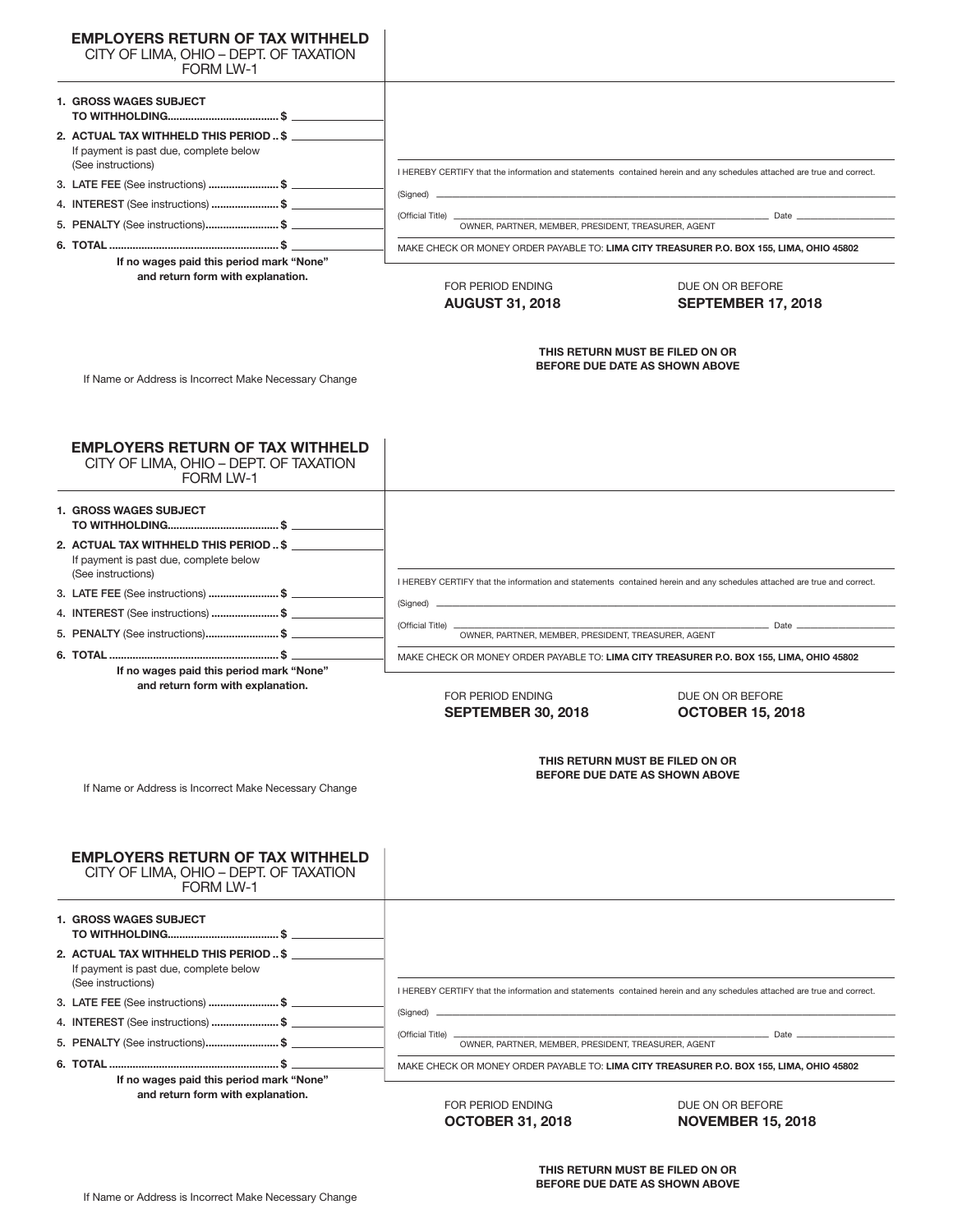| <b>EMPLOYERS RETURN OF TAX WITHHELD</b><br>CITY OF LIMA, OHIO - DEPT. OF TAXATION<br>FORM I W-1        |                                                                                              |                                                                                                                        |  |
|--------------------------------------------------------------------------------------------------------|----------------------------------------------------------------------------------------------|------------------------------------------------------------------------------------------------------------------------|--|
| 1. GROSS WAGES SUBJECT                                                                                 |                                                                                              |                                                                                                                        |  |
| 2. ACTUAL TAX WITHHELD THIS PERIOD  \$<br>If payment is past due, complete below<br>(See instructions) |                                                                                              |                                                                                                                        |  |
| 3. LATE FEE (See instructions) \$                                                                      |                                                                                              | I HEREBY CERTIFY that the information and statements contained herein and any schedules attached are true and correct. |  |
| 4. INTEREST (See instructions) \$                                                                      | (Signed) __                                                                                  |                                                                                                                        |  |
| 5. PENALTY (See instructions)\$                                                                        | (Official Title) _<br>OWNER, PARTNER, MEMBER, PRESIDENT, TREASURER, AGENT                    | $\equiv$ Date $\equiv$                                                                                                 |  |
|                                                                                                        |                                                                                              |                                                                                                                        |  |
| If no wages paid this period mark "None"                                                               | MAKE CHECK OR MONEY ORDER PAYABLE TO: LIMA CITY TREASURER P.O. BOX 155, LIMA, OHIO 45802     |                                                                                                                        |  |
| and return form with explanation.                                                                      | FOR PERIOD ENDING<br>DUE ON OR BEFORE<br><b>AUGUST 31, 2018</b><br><b>SEPTEMBER 17, 2018</b> |                                                                                                                        |  |
| If Name or Address is Incorrect Make Necessary Change                                                  | THIS RETURN MUST BE FILED ON OR<br>BEFORE DUE DATE AS SHOWN ABOVE                            |                                                                                                                        |  |
| <b>EMPLOYERS RETURN OF TAX WITHHELD</b><br>CITY OF LIMA, OHIO - DEPT. OF TAXATION<br><b>FORM LW-1</b>  |                                                                                              |                                                                                                                        |  |
| <b>1. GROSS WAGES SUBJECT</b>                                                                          |                                                                                              |                                                                                                                        |  |
| 2. ACTUAL TAX WITHHELD THIS PERIOD  \$                                                                 |                                                                                              |                                                                                                                        |  |
| If payment is past due, complete below<br>(See instructions)                                           |                                                                                              | I HEREBY CERTIFY that the information and statements contained herein and any schedules attached are true and correct. |  |
| 3. LATE FEE (See instructions) \$                                                                      | (Signed) _                                                                                   |                                                                                                                        |  |
| 4. INTEREST (See instructions) \$                                                                      | (Official Title)                                                                             | _ Date                                                                                                                 |  |
| 5. PENALTY (See instructions)\$                                                                        | OWNER, PARTNER, MEMBER, PRESIDENT, TREASURER, AGENT                                          |                                                                                                                        |  |
|                                                                                                        | MAKE CHECK OR MONEY ORDER PAYABLE TO: LIMA CITY TREASURER P.O. BOX 155, LIMA, OHIO 45802     |                                                                                                                        |  |
| If no wages paid this period mark "None"<br>and return form with explanation.                          | FOR PERIOD ENDING<br><b>SEPTEMBER 30, 2018</b>                                               | DUE ON OR BEFORE<br><b>OCTOBER 15, 2018</b>                                                                            |  |
| If Name or Address is Incorrect Make Necessary Change                                                  |                                                                                              | THIS RETURN MUST BE FILED ON OR<br>BEFORE DUE DATE AS SHOWN ABOVE                                                      |  |
| <b>EMPLOYERS RETURN OF TAX WITHHELD</b><br>CITY OF LIMA, OHIO - DEPT. OF TAXATION<br><b>FORM LW-1</b>  |                                                                                              |                                                                                                                        |  |
|                                                                                                        |                                                                                              |                                                                                                                        |  |
| <b>1. GROSS WAGES SUBJECT</b>                                                                          |                                                                                              |                                                                                                                        |  |
| 2. ACTUAL TAX WITHHELD THIS PERIOD  \$<br>If payment is past due, complete below<br>(See instructions) |                                                                                              |                                                                                                                        |  |
|                                                                                                        |                                                                                              | I HEREBY CERTIFY that the information and statements contained herein and any schedules attached are true and correct. |  |
|                                                                                                        |                                                                                              |                                                                                                                        |  |
|                                                                                                        | (Official Title) _<br>OWNER, PARTNER, MEMBER, PRESIDENT, TREASURER, AGENT                    |                                                                                                                        |  |

**If no wages paid this period mark "None" and return form with explanation.**

FOR PERIOD ENDING DUE ON OR BEFORE

**OCTOBER 31, 2018 NOVEMBER 15, 2018**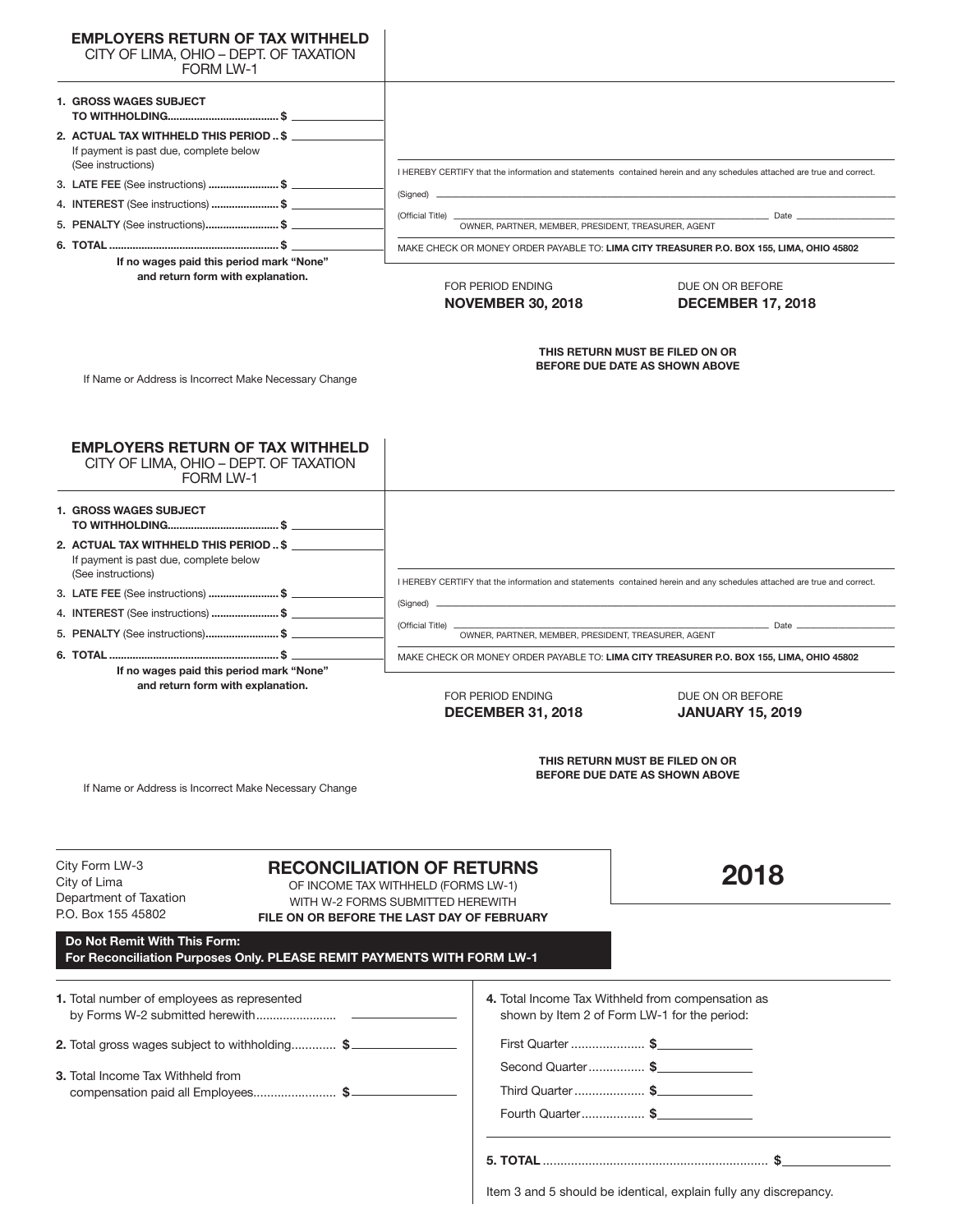| <b>FORM LW-1</b>                                                                                                                                                                                                                                                                                      | CITY OF LIMA, OHIO - DEPT. OF TAXATION |                                                                                                                                                            |                                                                                                                        |  |  |
|-------------------------------------------------------------------------------------------------------------------------------------------------------------------------------------------------------------------------------------------------------------------------------------------------------|----------------------------------------|------------------------------------------------------------------------------------------------------------------------------------------------------------|------------------------------------------------------------------------------------------------------------------------|--|--|
| <b>1. GROSS WAGES SUBJECT</b>                                                                                                                                                                                                                                                                         |                                        |                                                                                                                                                            |                                                                                                                        |  |  |
| 2. ACTUAL TAX WITHHELD THIS PERIOD  \$<br>If payment is past due, complete below<br>(See instructions)                                                                                                                                                                                                |                                        |                                                                                                                                                            |                                                                                                                        |  |  |
| 3. LATE FEE (See instructions) \$                                                                                                                                                                                                                                                                     |                                        | I HEREBY CERTIFY that the information and statements contained herein and any schedules attached are true and correct.                                     |                                                                                                                        |  |  |
| 4. INTEREST (See instructions) \$                                                                                                                                                                                                                                                                     |                                        | (Signed) __                                                                                                                                                |                                                                                                                        |  |  |
| 5. PENALTY (See instructions)\$                                                                                                                                                                                                                                                                       |                                        | (Official Title) _<br>OWNER, PARTNER, MEMBER, PRESIDENT, TREASURER, AGENT                                                                                  |                                                                                                                        |  |  |
|                                                                                                                                                                                                                                                                                                       |                                        |                                                                                                                                                            | MAKE CHECK OR MONEY ORDER PAYABLE TO: LIMA CITY TREASURER P.O. BOX 155, LIMA, OHIO 45802                               |  |  |
| If no wages paid this period mark "None"                                                                                                                                                                                                                                                              |                                        |                                                                                                                                                            |                                                                                                                        |  |  |
| and return form with explanation.                                                                                                                                                                                                                                                                     |                                        | FOR PERIOD ENDING<br><b>NOVEMBER 30, 2018</b>                                                                                                              | DUE ON OR BEFORE<br><b>DECEMBER 17, 2018</b>                                                                           |  |  |
| If Name or Address is Incorrect Make Necessary Change                                                                                                                                                                                                                                                 |                                        |                                                                                                                                                            | THIS RETURN MUST BE FILED ON OR<br>BEFORE DUE DATE AS SHOWN ABOVE                                                      |  |  |
| <b>EMPLOYERS RETURN OF TAX WITHHELD</b><br>CITY OF LIMA, OHIO - DEPT. OF TAXATION<br><b>FORM LW-1</b>                                                                                                                                                                                                 |                                        |                                                                                                                                                            |                                                                                                                        |  |  |
| <b>1. GROSS WAGES SUBJECT</b>                                                                                                                                                                                                                                                                         |                                        |                                                                                                                                                            |                                                                                                                        |  |  |
| 2. ACTUAL TAX WITHHELD THIS PERIOD  \$<br>If payment is past due, complete below<br>(See instructions)                                                                                                                                                                                                |                                        |                                                                                                                                                            |                                                                                                                        |  |  |
| 3. LATE FEE (See instructions) \$                                                                                                                                                                                                                                                                     |                                        |                                                                                                                                                            | I HEREBY CERTIFY that the information and statements contained herein and any schedules attached are true and correct. |  |  |
| 4. INTEREST (See instructions) \$                                                                                                                                                                                                                                                                     |                                        | (Signed) _                                                                                                                                                 |                                                                                                                        |  |  |
| 5. PENALTY (See instructions)\$                                                                                                                                                                                                                                                                       |                                        | (Official Title) _<br>OWNER, PARTNER, MEMBER, PRESIDENT, TREASURER, AGENT                                                                                  | <b>Date Date Date</b>                                                                                                  |  |  |
|                                                                                                                                                                                                                                                                                                       |                                        |                                                                                                                                                            | MAKE CHECK OR MONEY ORDER PAYABLE TO: LIMA CITY TREASURER P.O. BOX 155, LIMA, OHIO 45802                               |  |  |
| If no wages paid this period mark "None"                                                                                                                                                                                                                                                              |                                        |                                                                                                                                                            |                                                                                                                        |  |  |
| and return form with explanation.                                                                                                                                                                                                                                                                     |                                        | FOR PERIOD ENDING<br><b>DECEMBER 31, 2018</b>                                                                                                              | DUE ON OR BEFORE<br><b>JANUARY 15, 2019</b>                                                                            |  |  |
| If Name or Address is Incorrect Make Necessary Change                                                                                                                                                                                                                                                 |                                        |                                                                                                                                                            | THIS RETURN MUST BE FILED ON OR<br>BEFORE DUE DATE AS SHOWN ABOVE                                                      |  |  |
|                                                                                                                                                                                                                                                                                                       |                                        | <b>RECONCILIATION OF RETURNS</b><br>OF INCOME TAX WITHHELD (FORMS LW-1)<br>WITH W-2 FORMS SUBMITTED HEREWITH<br>FILE ON OR BEFORE THE LAST DAY OF FEBRUARY | 2018                                                                                                                   |  |  |
|                                                                                                                                                                                                                                                                                                       |                                        |                                                                                                                                                            |                                                                                                                        |  |  |
|                                                                                                                                                                                                                                                                                                       |                                        | 4. Total Income Tax Withheld from compensation as<br>shown by Item 2 of Form LW-1 for the period:                                                          |                                                                                                                        |  |  |
|                                                                                                                                                                                                                                                                                                       |                                        | First Quarter \$                                                                                                                                           |                                                                                                                        |  |  |
| Do Not Remit With This Form:<br>compensation paid all Employees \$                                                                                                                                                                                                                                    |                                        | Second Quarter\$<br>Third Quarter  \$                                                                                                                      |                                                                                                                        |  |  |
| City Form LW-3<br>City of Lima<br>Department of Taxation<br>P.O. Box 155 45802<br>For Reconciliation Purposes Only. PLEASE REMIT PAYMENTS WITH FORM LW-1<br>1. Total number of employees as represented<br>2. Total gross wages subject to withholding \$<br><b>3.</b> Total Income Tax Withheld from |                                        | Fourth Quarter \$                                                                                                                                          |                                                                                                                        |  |  |